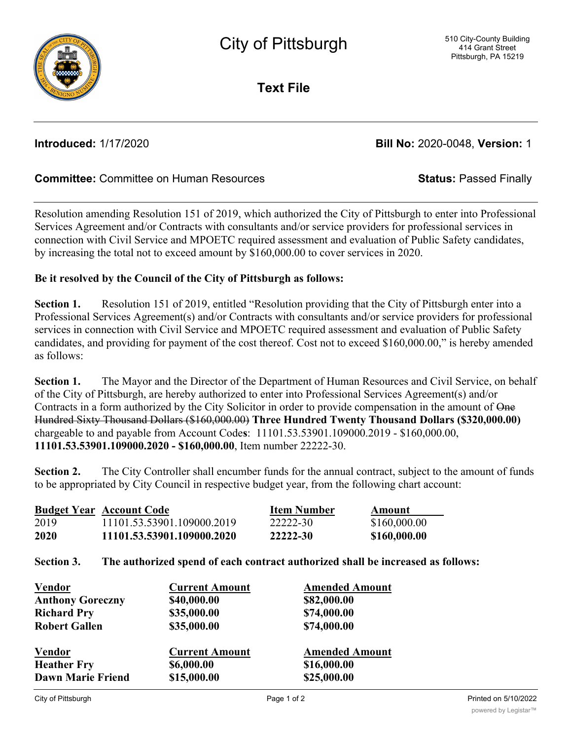

**Text File**

**Introduced:** 1/17/2020 **Bill No:** 2020-0048, **Version:** 1

## **Committee:** Committee on Human Resources **Status:** Passed Finally

Resolution amending Resolution 151 of 2019, which authorized the City of Pittsburgh to enter into Professional Services Agreement and/or Contracts with consultants and/or service providers for professional services in connection with Civil Service and MPOETC required assessment and evaluation of Public Safety candidates, by increasing the total not to exceed amount by \$160,000.00 to cover services in 2020.

## **Be it resolved by the Council of the City of Pittsburgh as follows:**

**Section 1.** Resolution 151 of 2019, entitled "Resolution providing that the City of Pittsburgh enter into a Professional Services Agreement(s) and/or Contracts with consultants and/or service providers for professional services in connection with Civil Service and MPOETC required assessment and evaluation of Public Safety candidates, and providing for payment of the cost thereof. Cost not to exceed \$160,000.00," is hereby amended as follows:

**Section 1.** The Mayor and the Director of the Department of Human Resources and Civil Service, on behalf of the City of Pittsburgh, are hereby authorized to enter into Professional Services Agreement(s) and/or Contracts in a form authorized by the City Solicitor in order to provide compensation in the amount of One Hundred Sixty Thousand Dollars (\$160,000.00) **Three Hundred Twenty Thousand Dollars (\$320,000.00)** chargeable to and payable from Account Code**s**: 11101.53.53901.109000.2019 - \$160,000.00, **11101.53.53901.109000.2020 - \$160,000.00**, Item number 22222-30.

**Section 2.** The City Controller shall encumber funds for the annual contract, subject to the amount of funds to be appropriated by City Council in respective budget year, from the following chart account:

|      | <b>Budget Year Account Code</b> | <b>Item Number</b> | Amount       |
|------|---------------------------------|--------------------|--------------|
| 2019 | 11101.53.53901.109000.2019      | 22222-30           | \$160,000.00 |
| 2020 | 11101.53.53901.109000.2020      | 22222-30           | \$160,000.00 |

## **Section 3. The authorized spend of each contract authorized shall be increased as follows:**

| <b>Vendor</b>            | <b>Current Amount</b> | <b>Amended Amount</b> |
|--------------------------|-----------------------|-----------------------|
| <b>Anthony Goreczny</b>  | \$40,000.00           | \$82,000.00           |
| <b>Richard Pry</b>       | \$35,000.00           | \$74,000.00           |
| <b>Robert Gallen</b>     | \$35,000.00           | \$74,000.00           |
| <b>Vendor</b>            | <b>Current Amount</b> | <b>Amended Amount</b> |
| <b>Heather Fry</b>       | \$6,000.00            | \$16,000.00           |
| <b>Dawn Marie Friend</b> | \$15,000.00           | \$25,000.00           |